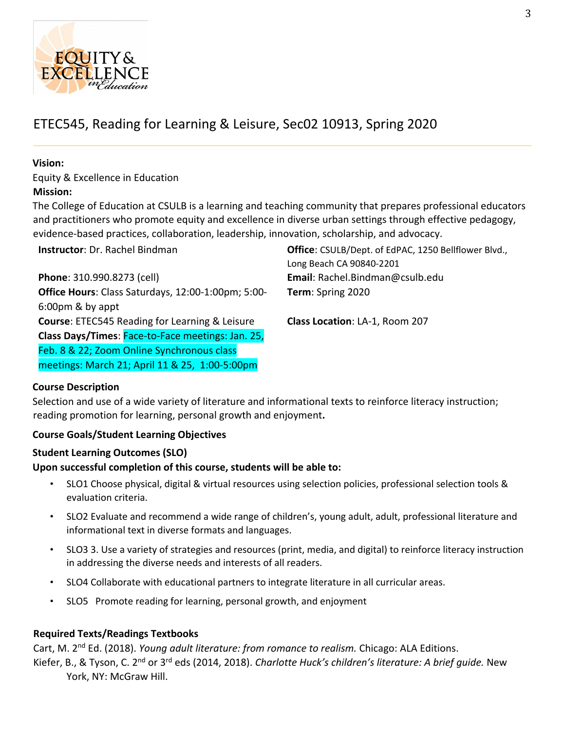

# ETEC545, Reading for Learning & Leisure, Sec02 10913, Spring 2020

# **Vision:**

Equity & Excellence in Education **Mission:**

The College of Education at CSULB is a learning and teaching community that prepares professional educators and practitioners who promote equity and excellence in diverse urban settings through effective pedagogy, evidence-based practices, collaboration, leadership, innovation, scholarship, and advocacy.

**Instructor**: Dr. Rachel Bindman **Office**: CSULB/Dept. of EdPAC, 1250 Bellflower Blvd.,

| Long Beach CA 90840-2201        |
|---------------------------------|
| Email: Rachel.Bindman@csulb.edu |
| Term: Spring 2020               |
|                                 |
| Class Location: LA-1, Room 207  |
|                                 |
|                                 |
|                                 |
|                                 |

# **Course Description**

Selection and use of a wide variety of literature and informational texts to reinforce literacy instruction; reading promotion for learning, personal growth and enjoyment**.**

# **Course Goals/Student Learning Objectives**

# **Student Learning Outcomes (SLO)**

# **Upon successful completion of this course, students will be able to:**

- SLO1 Choose physical, digital & virtual resources using selection policies, professional selection tools & evaluation criteria.
- SLO2 Evaluate and recommend a wide range of children's, young adult, adult, professional literature and informational text in diverse formats and languages.
- SLO3 3. Use a variety of strategies and resources (print, media, and digital) to reinforce literacy instruction in addressing the diverse needs and interests of all readers.
- SLO4 Collaborate with educational partners to integrate literature in all curricular areas.
- SLO5 Promote reading for learning, personal growth, and enjoyment

# **Required Texts/Readings Textbooks**

Cart, M. 2nd Ed. (2018). *Young adult literature: from romance to realism.* Chicago: ALA Editions. Kiefer, B., & Tyson, C. 2nd or 3rd eds (2014, 2018). *Charlotte Huck's children's literature: A brief guide.* New York, NY: McGraw Hill.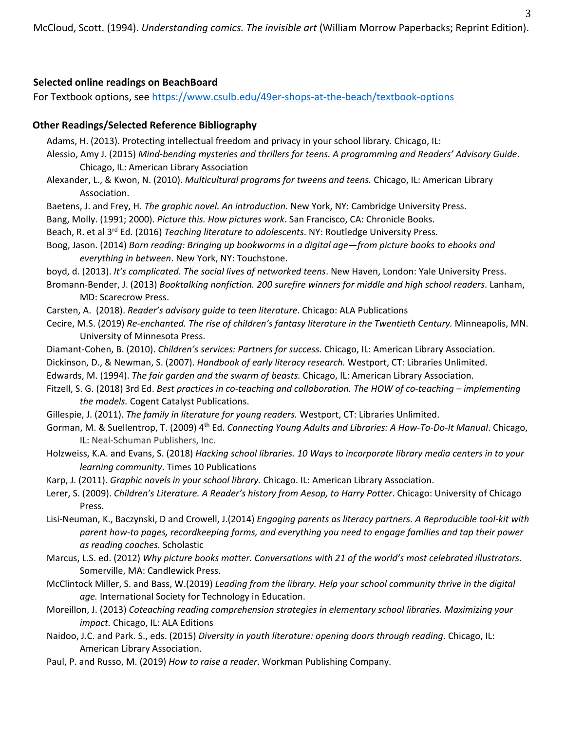# **Selected online readings on BeachBoard**

For Textbook options, see [https://www.csulb.edu/49er-shops-at-the-beach/textbook-options](about:blank)

### **Other Readings/Selected Reference Bibliography**

- Adams, H. (2013). Protecting intellectual freedom and privacy in your school library*.* Chicago, IL:
- Alessio, Amy J. (2015) *Mind-bending mysteries and thrillers for teens. A programming and Readers' Advisory Guide*. Chicago, IL: American Library Association
- Alexander, L., & Kwon, N. (2010). *Multicultural programs for tweens and teens.* Chicago, IL: American Library Association.
- Baetens, J. and Frey, H. *The graphic novel. An introduction.* New York, NY: Cambridge University Press.
- Bang, Molly. (1991; 2000). *Picture this. How pictures work*. San Francisco, CA: Chronicle Books.
- Beach, R. et al 3rd Ed. (2016) *Teaching literature to adolescents*. NY: Routledge University Press.
- Boog, Jason. (2014) *Born reading: Bringing up bookworms in a digital age—from picture books to ebooks and everything in between*. New York, NY: Touchstone.
- boyd, d. (2013). *It's complicated. The social lives of networked teens*. New Haven, London: Yale University Press.
- Bromann-Bender, J. (2013) *Booktalking nonfiction. 200 surefire winners for middle and high school readers*. Lanham, MD: Scarecrow Press.
- Carsten, A. (2018). *Reader's advisory guide to teen literature*. Chicago: ALA Publications
- Cecire, M.S. (2019) *Re-enchanted. The rise of children's fantasy literature in the Twentieth Century.* Minneapolis, MN. University of Minnesota Press.
- Diamant-Cohen, B. (2010). *Children's services: Partners for success.* Chicago, IL: American Library Association.
- Dickinson, D., & Newman, S. (2007). *Handbook of early literacy research.* Westport, CT: Libraries Unlimited.
- Edwards, M. (1994). *The fair garden and the swarm of beasts.* Chicago, IL: American Library Association.
- Fitzell, S. G. (2018) 3rd Ed. *Best practices in co-teaching and collaboration. The HOW of co-teaching – implementing the models.* Cogent Catalyst Publications.
- Gillespie, J. (2011). *The family in literature for young readers.* Westport, CT: Libraries Unlimited.
- Gorman, M. & Suellentrop, T. (2009) 4th Ed. *Connecting Young Adults and Libraries: A How-To-Do-It Manual*. Chicago, IL: Neal-Schuman Publishers, Inc.
- Holzweiss, K.A. and Evans, S. (2018) *Hacking school libraries. 10 Ways to incorporate library media centers in to your learning community*. Times 10 Publications
- Karp, J. (2011). *Graphic novels in your school library.* Chicago. IL: American Library Association.
- Lerer, S. (2009). *Children's Literature. A Reader's history from Aesop, to Harry Potter*. Chicago: University of Chicago Press.
- Lisi-Neuman, K., Baczynski, D and Crowell, J.(2014) *Engaging parents as literacy partners. A Reproducible tool-kit with parent how-to pages, recordkeeping forms, and everything you need to engage families and tap their power as reading coaches.* Scholastic
- Marcus, L.S. ed. (2012) *Why picture books matter. Conversations with 21 of the world's most celebrated illustrators*. Somerville, MA: Candlewick Press.
- McClintock Miller, S. and Bass, W.(2019) *Leading from the library. Help your school community thrive in the digital age.* International Society for Technology in Education.
- Moreillon, J. (2013) *Coteaching reading comprehension strategies in elementary school libraries. Maximizing your impact.* Chicago, IL: ALA Editions
- Naidoo, J.C. and Park. S., eds. (2015) *Diversity in youth literature: opening doors through reading.* Chicago, IL: American Library Association.
- Paul, P. and Russo, M. (2019) *How to raise a reader*. Workman Publishing Company.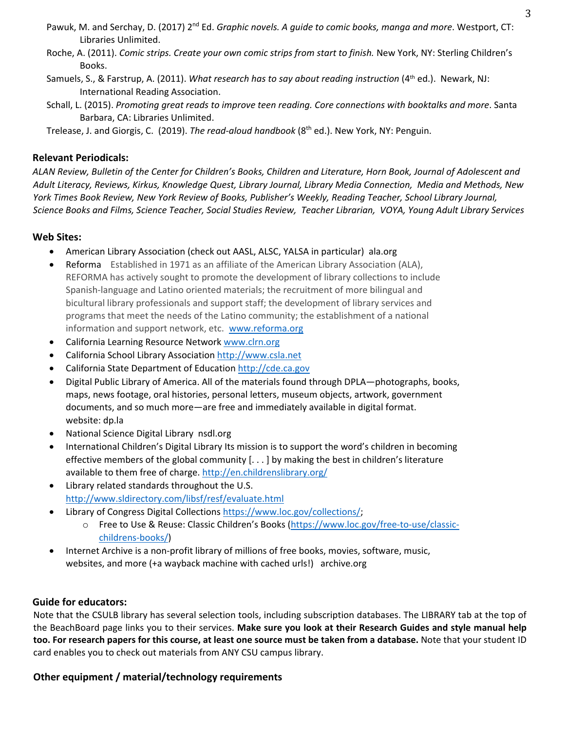- Pawuk, M. and Serchay, D. (2017) 2nd Ed. *Graphic novels. A guide to comic books, manga and more*. Westport, CT: Libraries Unlimited.
- Roche, A. (2011). *Comic strips. Create your own comic strips from start to finish.* New York, NY: Sterling Children's Books.
- Samuels, S., & Farstrup, A. (2011). *What research has to say about reading instruction* (4<sup>th</sup> ed.). Newark, NJ: International Reading Association.
- Schall, L. (2015). *Promoting great reads to improve teen reading. Core connections with booktalks and more*. Santa Barbara, CA: Libraries Unlimited.
- Trelease, J. and Giorgis, C. (2019). *The read-aloud handbook* (8th ed.). New York, NY: Penguin.

# **Relevant Periodicals:**

*ALAN Review, Bulletin of the Center for Children's Books, Children and Literature, Horn Book, Journal of Adolescent and Adult Literacy, Reviews, Kirkus, Knowledge Quest, Library Journal, Library Media Connection, Media and Methods, New York Times Book Review, New York Review of Books, Publisher's Weekly, Reading Teacher, School Library Journal, Science Books and Films, Science Teacher, Social Studies Review, Teacher Librarian, VOYA, Young Adult Library Services*

# **Web Sites:**

- American Library Association (check out AASL, ALSC, YALSA in particular) ala.org
- Reforma Established in 1971 as an affiliate of the American Library Association (ALA), REFORMA has actively sought to promote the development of library collections to include Spanish-language and Latino oriented materials; the recruitment of more bilingual and bicultural library professionals and support staff; the development of library services and programs that meet the needs of the Latino community; the establishment of a national information and support network, etc. [www.reforma.org](about:blank)
- California Learning Resource Network [www.clrn.org](about:blank)
- California School Library Associatio[n http://www.csla.net](about:blank)
- California State Department of Education [http://cde.ca.gov](about:blank)
- Digital Public Library of America. All of the materials found through DPLA—photographs, books, maps, news footage, oral histories, personal letters, museum objects, artwork, government documents, and so much more—are free and immediately available in digital format. website: dp.la
- National Science Digital Library nsdl.org
- International Children's Digital Library Its mission is to support the word's children in becoming effective members of the global community [. . . ] by making the best in children's literature available to them free of charge. [http://en.childrenslibrary.org/](about:blank)
- Library related standards throughout the U.S. [http://www.sldirectory.com/libsf/resf/evaluate.html](about:blank)
- Library of Congress Digital Collection[s https://www.loc.gov/collections/;](about:blank)
	- o Free to Use & Reuse: Classic Children's Books [\(https://www.loc.gov/free-to-use/classic](about:blank)[childrens-books/\)](about:blank)
- Internet Archive is a non-profit library of millions of free books, movies, software, music, websites, and more (+a wayback machine with cached urls!) archive.org

# **Guide for educators:**

Note that the CSULB library has several selection tools, including subscription databases. The LIBRARY tab at the top of the BeachBoard page links you to their services. **Make sure you look at their Research Guides and style manual help too. For research papers for this course, at least one source must be taken from a database.** Note that your student ID card enables you to check out materials from ANY CSU campus library.

# **Other equipment / material/technology requirements**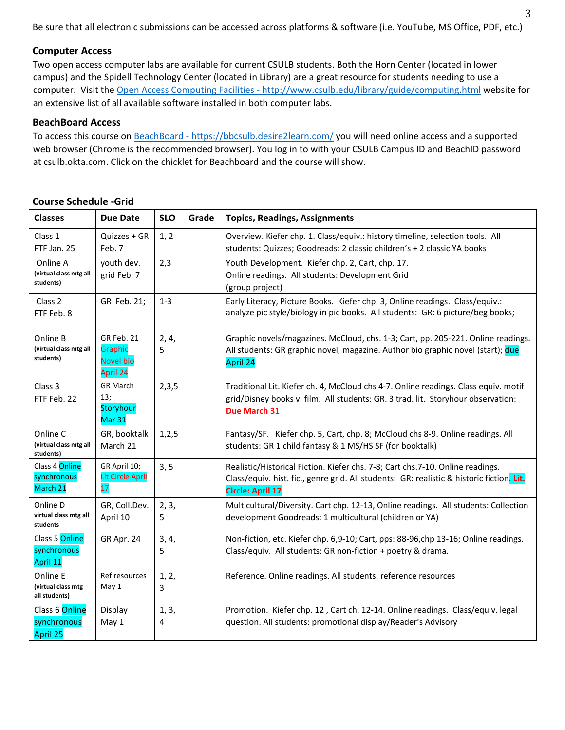Be sure that all electronic submissions can be accessed across platforms & software (i.e. YouTube, MS Office, PDF, etc.)

#### **Computer Access**

Two open access computer labs are available for current CSULB students. Both the Horn Center (located in lower campus) and the Spidell Technology Center (located in Library) are a great resource for students needing to use a computer. Visit the Open Access Computing Facilities - [http://www.csulb.edu/library/guide/computing.html](about:blank) website for an extensive list of all available software installed in both computer labs.

#### **BeachBoard Access**

To access this course on BeachBoard - [https://bbcsulb.desire2learn.com/](about:blank) you will need online access and a supported web browser (Chrome is the recommended browser). You log in to with your CSULB Campus ID and BeachID password at csulb.okta.com. Click on the chicklet for Beachboard and the course will show.

#### **Classes Due Date SLO Grade Topics, Readings, Assignments** Class 1 FTF Jan. 25 Quizzes + GR Feb. 7 1, 2 Overview. Kiefer chp. 1. Class/equiv.: history timeline, selection tools. All students: Quizzes; Goodreads: 2 classic children's + 2 classic YA books Online A **(virtual class mtg all students)**  youth dev. grid Feb. 7 2,3 | Youth Development. Kiefer chp. 2, Cart, chp. 17. Online readings. All students: Development Grid (group project) Class 2 FTF Feb. 8 GR Feb. 21; | 1-3 | Early Literacy, Picture Books. Kiefer chp. 3, Online readings. Class/equiv.: analyze pic style/biology in pic books. All students: GR: 6 picture/beg books; Online B **(virtual class mtg all students)**  GR Feb. 21 Graphic Novel bio April 24 2, 4, 5 Graphic novels/magazines. McCloud, chs. 1-3; Cart, pp. 205-221. Online readings. All students: GR graphic novel, magazine. Author bio graphic novel (start); due April 24 Class 3 FTF Feb. 22 GR March 13; **Storyhour** Mar 31 2,3,5 Traditional Lit. Kiefer ch. 4, McCloud chs 4-7. Online readings. Class equiv. motif grid/Disney books v. film. All students: GR. 3 trad. lit. Storyhour observation: **Due March 31**  Online C **(virtual class mtg all students)**  GR, booktalk March 21 1,2,5 Fantasy/SF. Kiefer chp. 5, Cart, chp. 8; McCloud chs 8-9. Online readings. All students: GR 1 child fantasy & 1 MS/HS SF (for booktalk) Class 4 Online synchronous March 21 GR April 10; Lit Circle April 17 3, 5 | Realistic/Historical Fiction. Kiefer chs. 7-8; Cart chs. 7-10. Online readings. Class/equiv. hist. fic., genre grid. All students: GR: realistic & historic fiction. **Lit. Circle: April 17** Online D **virtual class mtg all students**  GR, Coll.Dev. April 10 2, 3, 5 Multicultural/Diversity. Cart chp. 12-13, Online readings. All students: Collection development Goodreads: 1 multicultural (children or YA) Class 5 Online synchronous April 11 GR Apr. 24 | 3, 4, 5 Non-fiction, etc. Kiefer chp. 6,9-10; Cart, pps: 88-96,chp 13-16; Online readings. Class/equiv. All students: GR non-fiction + poetry & drama. Online E **(virtual class mtg all students)**  Ref resources May 1 1, 2, 3 Reference. Online readings. All students: reference resources Class 6 Online synchronous April 25 Display May 1 1, 3, 4 Promotion. Kiefer chp. 12 , Cart ch. 12-14. Online readings. Class/equiv. legal question. All students: promotional display/Reader's Advisory

### **Course Schedule -Grid**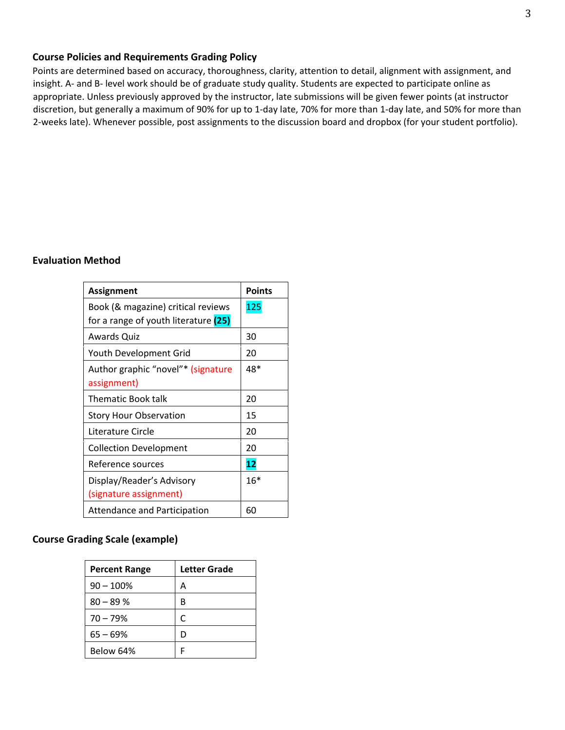#### **Course Policies and Requirements Grading Policy**

Points are determined based on accuracy, thoroughness, clarity, attention to detail, alignment with assignment, and insight. A- and B- level work should be of graduate study quality. Students are expected to participate online as appropriate. Unless previously approved by the instructor, late submissions will be given fewer points (at instructor discretion, but generally a maximum of 90% for up to 1-day late, 70% for more than 1-day late, and 50% for more than 2-weeks late). Whenever possible, post assignments to the discussion board and dropbox (for your student portfolio).

#### **Evaluation Method**

| <b>Assignment</b>                                                          | <b>Points</b> |
|----------------------------------------------------------------------------|---------------|
| Book (& magazine) critical reviews<br>for a range of youth literature (25) | 125           |
| Awards Quiz                                                                | 30            |
| Youth Development Grid                                                     | 20            |
| Author graphic "novel"* (signature<br>assignment)                          | 48*           |
| <b>Thematic Book talk</b>                                                  | 20            |
| <b>Story Hour Observation</b>                                              | 15            |
| Literature Circle                                                          | 20            |
| <b>Collection Development</b>                                              | 20            |
| Reference sources                                                          | 12            |
| Display/Reader's Advisory<br>(signature assignment)                        | $16*$         |
| Attendance and Participation                                               | 60            |

# **Course Grading Scale (example)**

| <b>Percent Range</b> | Letter Grade |
|----------------------|--------------|
| $90 - 100%$          | А            |
| $80 - 89%$           | R            |
| $70 - 79%$           | r            |
| $65 - 69%$           |              |
| Below 64%            |              |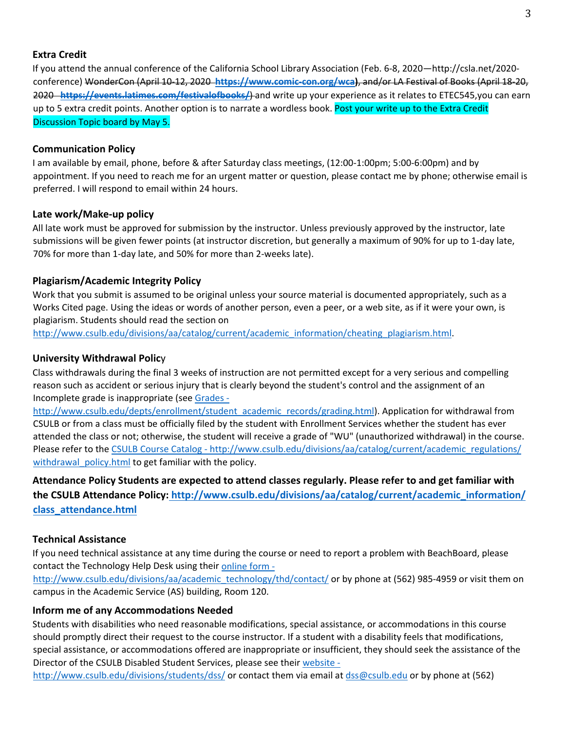# **Extra Credit**

If you attend the annual conference of the California School Library Association (Feb. 6-8, 2020—http://csla.net/2020 conference) WonderCon (April 10-12, 2020 **[https://www.comic-con.org/wca\)](about:blank)**, and/or LA Festival of Books (April 18-20, 2020 **[https://events.latimes.com/festivalofbooks/](about:blank)**) and write up your experience as it relates to ETEC545,you can earn up to 5 extra credit points. Another option is to narrate a wordless book. Post your write up to the Extra Credit Discussion Topic board by May 5.

#### **Communication Policy**

I am available by email, phone, before & after Saturday class meetings, (12:00-1:00pm; 5:00-6:00pm) and by appointment. If you need to reach me for an urgent matter or question, please contact me by phone; otherwise email is preferred. I will respond to email within 24 hours.

### **Late work/Make-up policy**

All late work must be approved for submission by the instructor. Unless previously approved by the instructor, late submissions will be given fewer points (at instructor discretion, but generally a maximum of 90% for up to 1-day late, 70% for more than 1-day late, and 50% for more than 2-weeks late).

# **Plagiarism/Academic Integrity Policy**

Work that you submit is assumed to be original unless your source material is documented appropriately, such as a Works Cited page. Using the ideas or words of another person, even a peer, or a web site, as if it were your own, is plagiarism. Students should read the section on

[http://www.csulb.edu/divisions/aa/catalog/current/academic\\_information/cheating\\_plagiarism.html.](about:blank)

# **University Withdrawal Polic**y

Class withdrawals during the final 3 weeks of instruction are not permitted except for a very serious and compelling reason such as accident or serious injury that is clearly beyond the student's control and the assignment of an Incomplete grade is inappropriate (see [Grades -](about:blank)

[http://www.csulb.edu/depts/enrollment/student\\_academic\\_records/grading.html\)](about:blank). Application for withdrawal from CSULB or from a class must be officially filed by the student with Enrollment Services whether the student has ever attended the class or not; otherwise, the student will receive a grade of "WU" (unauthorized withdrawal) in the course. Please refer to the CSULB Course Catalog - http://www.csulb.edu/divisions/aa/catalog/current/academic\_regulations/ withdrawal policy.html to get familiar with the policy.

**Attendance Policy Students are expected to attend classes regularly. Please refer to and get familiar with the CSULB Attendance Policy: [http://www.csulb.edu/divisions/aa/catalog/current/academic\\_information/](about:blank)  [class\\_attendance.html](about:blank)** 

# **Technical Assistance**

If you need technical assistance at any time during the course or need to report a problem with BeachBoard, please contact the Technology Help Desk using their [online form -](about:blank)

[http://www.csulb.edu/divisions/aa/academic\\_technology/thd/contact/](about:blank) or by phone at (562) 985-4959 or visit them on campus in the Academic Service (AS) building, Room 120.

# **Inform me of any Accommodations Needed**

Students with disabilities who need reasonable modifications, special assistance, or accommodations in this course should promptly direct their request to the course instructor. If a student with a disability feels that modifications, special assistance, or accommodations offered are inappropriate or insufficient, they should seek the assistance of the Director of the CSULB Disabled Student Services, please see their [website -](about:blank)

[http://www.csulb.edu/divisions/students/dss/](about:blank) or contact them via email at dss@csulb.edu or by phone at (562)